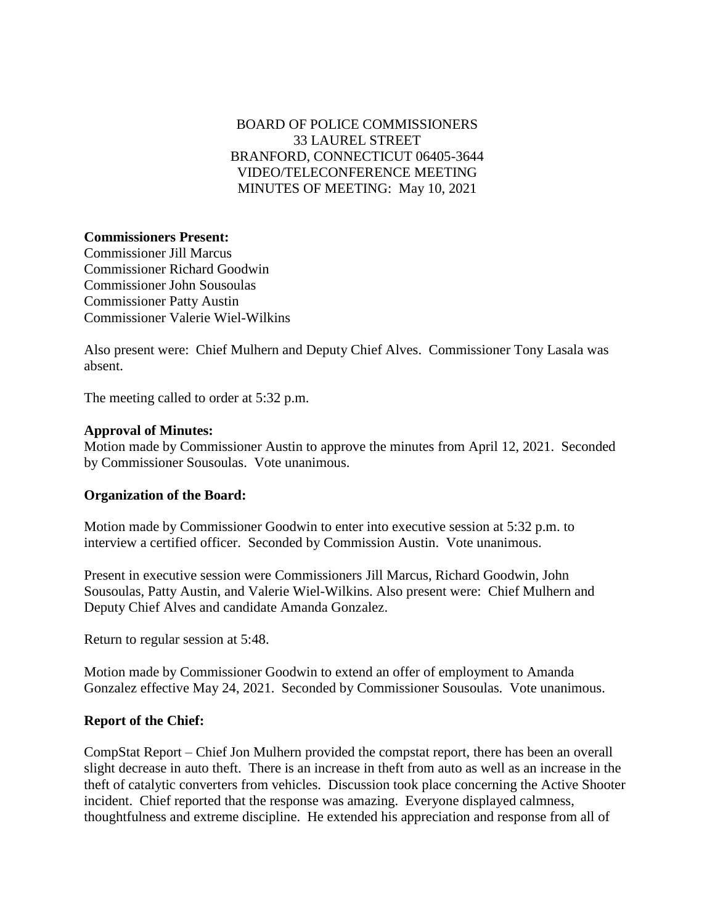# BOARD OF POLICE COMMISSIONERS 33 LAUREL STREET BRANFORD, CONNECTICUT 06405-3644 VIDEO/TELECONFERENCE MEETING MINUTES OF MEETING: May 10, 2021

## **Commissioners Present:**

Commissioner Jill Marcus Commissioner Richard Goodwin Commissioner John Sousoulas Commissioner Patty Austin Commissioner Valerie Wiel-Wilkins

Also present were: Chief Mulhern and Deputy Chief Alves. Commissioner Tony Lasala was absent.

The meeting called to order at 5:32 p.m.

## **Approval of Minutes:**

Motion made by Commissioner Austin to approve the minutes from April 12, 2021. Seconded by Commissioner Sousoulas. Vote unanimous.

## **Organization of the Board:**

Motion made by Commissioner Goodwin to enter into executive session at 5:32 p.m. to interview a certified officer. Seconded by Commission Austin. Vote unanimous.

Present in executive session were Commissioners Jill Marcus, Richard Goodwin, John Sousoulas, Patty Austin, and Valerie Wiel-Wilkins. Also present were: Chief Mulhern and Deputy Chief Alves and candidate Amanda Gonzalez.

Return to regular session at 5:48.

Motion made by Commissioner Goodwin to extend an offer of employment to Amanda Gonzalez effective May 24, 2021. Seconded by Commissioner Sousoulas. Vote unanimous.

## **Report of the Chief:**

CompStat Report – Chief Jon Mulhern provided the compstat report, there has been an overall slight decrease in auto theft. There is an increase in theft from auto as well as an increase in the theft of catalytic converters from vehicles. Discussion took place concerning the Active Shooter incident. Chief reported that the response was amazing. Everyone displayed calmness, thoughtfulness and extreme discipline. He extended his appreciation and response from all of